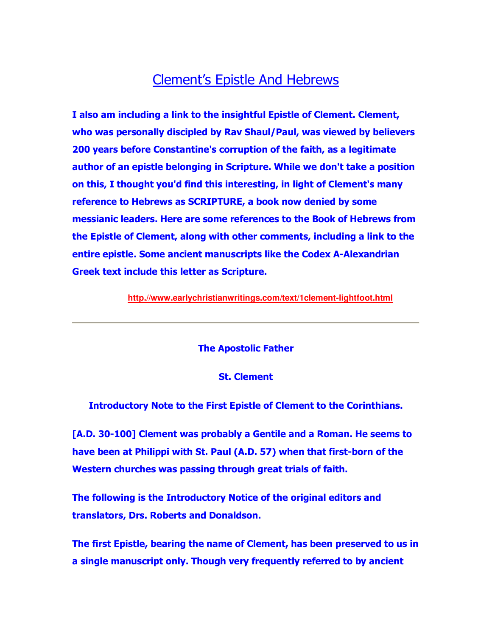## Clement's Epistle And Hebrews

**I also am including a link to the insightful Epistle of Clement. Clement, who was personally discipled by Rav Shaul/Paul, was viewed by believers 200 years before Constantine's corruption of the faith, as a legitimate author of an epistle belonging in Scripture. While we don't take a position on this, I thought you'd find this interesting, in light of Clement's many reference to Hebrews as SCRIPTURE, a book now denied by some messianic leaders. Here are some references to the Book of Hebrews from the Epistle of Clement, along with other comments, including a link to the entire epistle. Some ancient manuscripts like the Codex A-Alexandrian Greek text include this letter as Scripture.**

**http.//www.earlychristianwritings.com/text/1clement-lightfoot.html**

**The Apostolic Father**

**St. Clement**

**Introductory Note to the First Epistle of Clement to the Corinthians.**

**[A.D. 30-100] Clement was probably a Gentile and a Roman. He seems to have been at Philippi with St. Paul (A.D. 57) when that first-born of the Western churches was passing through great trials of faith.** 

**The following is the Introductory Notice of the original editors and translators, Drs. Roberts and Donaldson.** 

**The first Epistle, bearing the name of Clement, has been preserved to us in a single manuscript only. Though very frequently referred to by ancient**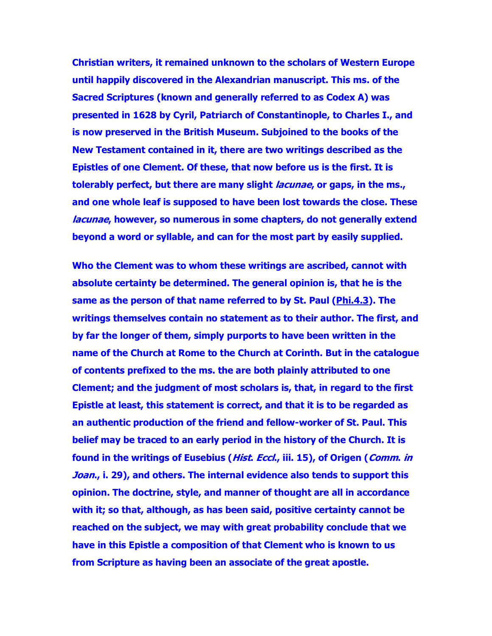**Christian writers, it remained unknown to the scholars of Western Europe until happily discovered in the Alexandrian manuscript. This ms. of the Sacred Scriptures (known and generally referred to as Codex A) was presented in 1628 by Cyril, Patriarch of Constantinople, to Charles I., and is now preserved in the British Museum. Subjoined to the books of the New Testament contained in it, there are two writings described as the Epistles of one Clement. Of these, that now before us is the first. It is tolerably perfect, but there are many slight lacunae, or gaps, in the ms., and one whole leaf is supposed to have been lost towards the close. These lacunae, however, so numerous in some chapters, do not generally extend beyond a word or syllable, and can for the most part by easily supplied.**

**Who the Clement was to whom these writings are ascribed, cannot with absolute certainty be determined. The general opinion is, that he is the same as the person of that name referred to by St. Paul (Phi.4.3). The writings themselves contain no statement as to their author. The first, and by far the longer of them, simply purports to have been written in the name of the Church at Rome to the Church at Corinth. But in the catalogue of contents prefixed to the ms. the are both plainly attributed to one Clement; and the judgment of most scholars is, that, in regard to the first Epistle at least, this statement is correct, and that it is to be regarded as an authentic production of the friend and fellow-worker of St. Paul. This belief may be traced to an early period in the history of the Church. It is found in the writings of Eusebius (Hist. Eccl., iii. 15), of Origen (Comm. in Joan., i. 29), and others. The internal evidence also tends to support this opinion. The doctrine, style, and manner of thought are all in accordance with it; so that, although, as has been said, positive certainty cannot be reached on the subject, we may with great probability conclude that we have in this Epistle a composition of that Clement who is known to us from Scripture as having been an associate of the great apostle.**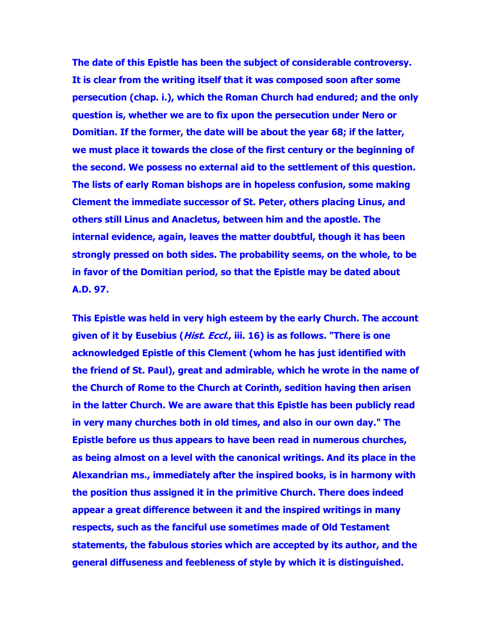**The date of this Epistle has been the subject of considerable controversy. It is clear from the writing itself that it was composed soon after some persecution (chap. i.), which the Roman Church had endured; and the only question is, whether we are to fix upon the persecution under Nero or Domitian. If the former, the date will be about the year 68; if the latter, we must place it towards the close of the first century or the beginning of the second. We possess no external aid to the settlement of this question. The lists of early Roman bishops are in hopeless confusion, some making Clement the immediate successor of St. Peter, others placing Linus, and others still Linus and Anacletus, between him and the apostle. The internal evidence, again, leaves the matter doubtful, though it has been strongly pressed on both sides. The probability seems, on the whole, to be in favor of the Domitian period, so that the Epistle may be dated about A.D. 97.**

**This Epistle was held in very high esteem by the early Church. The account given of it by Eusebius (Hist. Eccl., iii. 16) is as follows. "There is one acknowledged Epistle of this Clement (whom he has just identified with the friend of St. Paul), great and admirable, which he wrote in the name of the Church of Rome to the Church at Corinth, sedition having then arisen in the latter Church. We are aware that this Epistle has been publicly read in very many churches both in old times, and also in our own day." The Epistle before us thus appears to have been read in numerous churches, as being almost on a level with the canonical writings. And its place in the Alexandrian ms., immediately after the inspired books, is in harmony with the position thus assigned it in the primitive Church. There does indeed appear a great difference between it and the inspired writings in many respects, such as the fanciful use sometimes made of Old Testament statements, the fabulous stories which are accepted by its author, and the general diffuseness and feebleness of style by which it is distinguished.**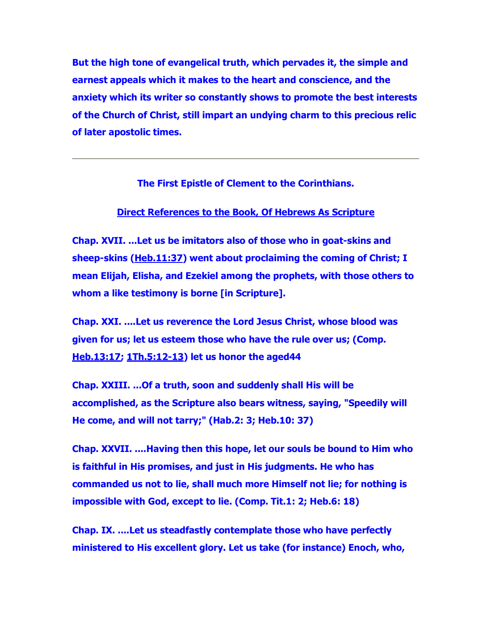**But the high tone of evangelical truth, which pervades it, the simple and earnest appeals which it makes to the heart and conscience, and the anxiety which its writer so constantly shows to promote the best interests of the Church of Christ, still impart an undying charm to this precious relic of later apostolic times.**

**The First Epistle of Clement to the Corinthians.**

## **Direct References to the Book, Of Hebrews As Scripture**

**Chap. XVII. ...Let us be imitators also of those who in goat-skins and sheep-skins (Heb.11:37) went about proclaiming the coming of Christ; I mean Elijah, Elisha, and Ezekiel among the prophets, with those others to whom a like testimony is borne [in Scripture].** 

**Chap. XXI. ....Let us reverence the Lord Jesus Christ, whose blood was given for us; let us esteem those who have the rule over us; (Comp. Heb.13:17; 1Th.5:12-13) let us honor the aged44** 

**Chap. XXIII. ...Of a truth, soon and suddenly shall His will be accomplished, as the Scripture also bears witness, saying, "Speedily will He come, and will not tarry;" (Hab.2: 3; Heb.10: 37)** 

**Chap. XXVII. ....Having then this hope, let our souls be bound to Him who is faithful in His promises, and just in His judgments. He who has commanded us not to lie, shall much more Himself not lie; for nothing is impossible with God, except to lie. (Comp. Tit.1: 2; Heb.6: 18)** 

**Chap. IX. ....Let us steadfastly contemplate those who have perfectly ministered to His excellent glory. Let us take (for instance) Enoch, who,**